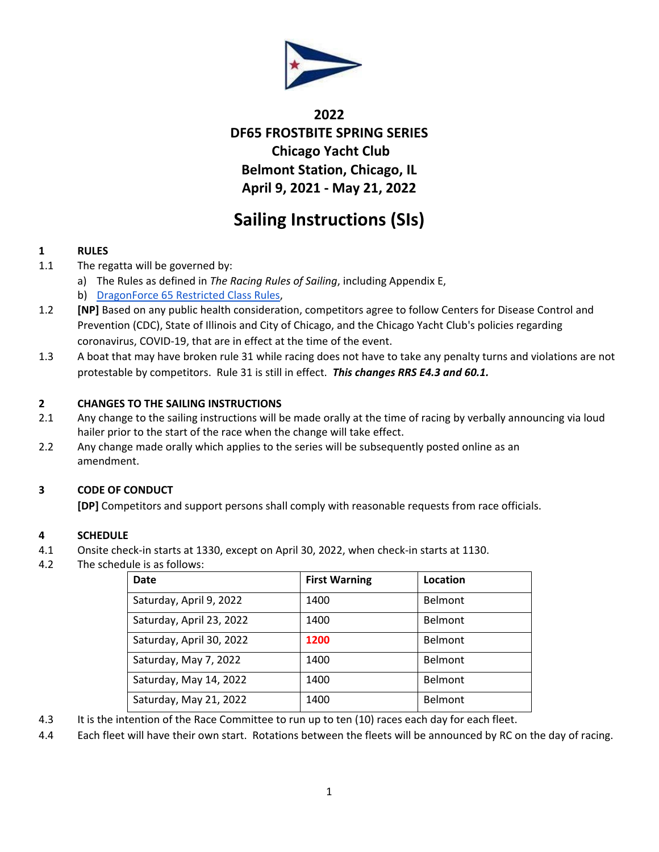

# **2022 DF65 FROSTBITE SPRING SERIES Chicago Yacht Club Belmont Station, Chicago, IL April 9, 2021 - May 21, 2022**

# **Sailing Instructions (SIs)**

## **1 RULES**

- 1.1 The regatta will be governed by:
	- a) The Rules as defined in *The Racing Rules of Sailing*, including Appendix E,
	- b) [DragonForce 65 Restricted Class Rules,](https://dragonforce65.us/wp-content/uploads/2017/03/dragonforce65-restricted-class-rules-v1.61.pdf)
- 1.2 **[NP]** Based on any public health consideration, competitors agree to follow Centers for Disease Control and Prevention (CDC), State of Illinois and City of Chicago, and the Chicago Yacht Club's policies regarding coronavirus, COVID-19, that are in effect at the time of the event.
- 1.3 A boat that may have broken rule 31 while racing does not have to take any penalty turns and violations are not protestable by competitors. Rule 31 is still in effect. *This changes RRS E4.3 and 60.1.*

#### **2 CHANGES TO THE SAILING INSTRUCTIONS**

- 2.1 Any change to the sailing instructions will be made orally at the time of racing by verbally announcing via loud hailer prior to the start of the race when the change will take effect.
- 2.2 Any change made orally which applies to the series will be subsequently posted online as an amendment.

### **3 CODE OF CONDUCT**

**[DP]** Competitors and support persons shall comply with reasonable requests from race officials.

#### **4 SCHEDULE**

- 4.1 Onsite check-in starts at 1330, except on April 30, 2022, when check-in starts at 1130.
- 4.2 The schedule is as follows:

| Date                     | <b>First Warning</b> | Location       |
|--------------------------|----------------------|----------------|
| Saturday, April 9, 2022  | 1400                 | Belmont        |
| Saturday, April 23, 2022 | 1400                 | Belmont        |
| Saturday, April 30, 2022 | 1200                 | <b>Belmont</b> |
| Saturday, May 7, 2022    | 1400                 | Belmont        |
| Saturday, May 14, 2022   | 1400                 | <b>Belmont</b> |
| Saturday, May 21, 2022   | 1400                 | Belmont        |

4.3 It is the intention of the Race Committee to run up to ten (10) races each day for each fleet.

4.4 Each fleet will have their own start. Rotations between the fleets will be announced by RC on the day of racing.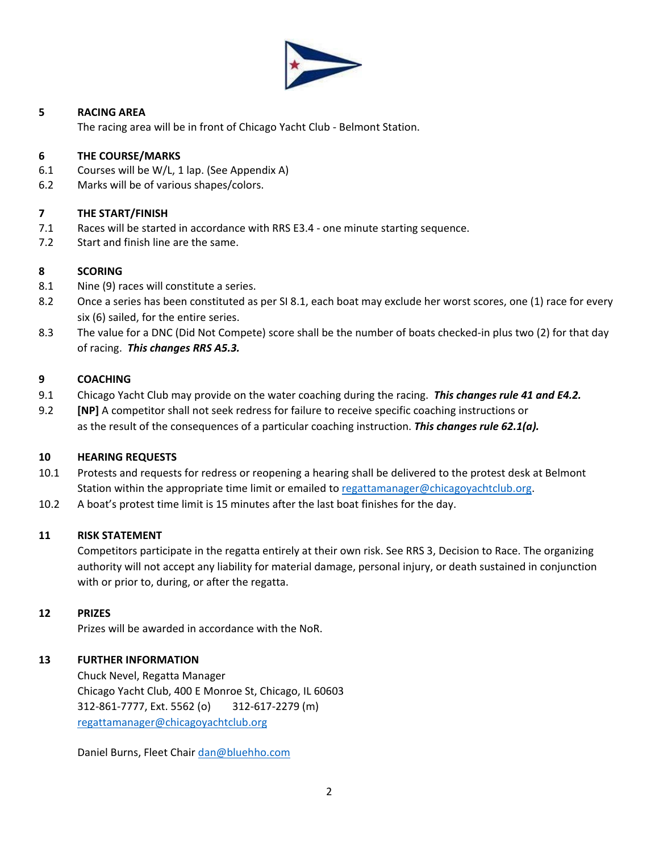

#### **5 RACING AREA**

The racing area will be in front of Chicago Yacht Club - Belmont Station.

#### **6 THE COURSE/MARKS**

- 6.1 Courses will be W/L, 1 lap. (See Appendix A)
- 6.2 Marks will be of various shapes/colors.

#### **7 THE START/FINISH**

- 7.1 Races will be started in accordance with RRS E3.4 one minute starting sequence.
- 7.2 Start and finish line are the same.

#### **8 SCORING**

- 8.1 Nine (9) races will constitute a series.
- 8.2 Once a series has been constituted as per SI 8.1, each boat may exclude her worst scores, one (1) race for every six (6) sailed, for the entire series.
- 8.3 The value for a DNC (Did Not Compete) score shall be the number of boats checked-in plus two (2) for that day of racing. *This changes RRS A5.3.*

#### **9 COACHING**

- 9.1 Chicago Yacht Club may provide on the water coaching during the racing. *This changes rule 41 and E4.2.*
- 9.2 **[NP]** A competitor shall not seek redress for failure to receive specific coaching instructions or as the result of the consequences of a particular coaching instruction. *This changes rule 62.1(a).*

### **10 HEARING REQUESTS**

- 10.1 Protests and requests for redress or reopening a hearing shall be delivered to the protest desk at Belmont Station within the appropriate time limit or emailed to [regattamanager@chicagoyachtclub.org.](mailto:regattamanager@chicagoyachtclub.org)
- 10.2 A boat's protest time limit is 15 minutes after the last boat finishes for the day.

#### **11 RISK STATEMENT**

Competitors participate in the regatta entirely at their own risk. See RRS 3, Decision to Race. The organizing authority will not accept any liability for material damage, personal injury, or death sustained in conjunction with or prior to, during, or after the regatta.

#### **12 PRIZES**

Prizes will be awarded in accordance with the NoR.

### **13 FURTHER INFORMATION**

Chuck Nevel, Regatta Manager Chicago Yacht Club, 400 E Monroe St, Chicago, IL 60603 312-861-7777, Ext. 5562 (o) 312-617-2279 (m) [regattamanager@chicagoyachtclub.org](mailto:regattamanager@chicagoyachtclub.org)

Daniel Burns, Fleet Chair [dan@bluehho.com](mailto:dan@bluehho.com)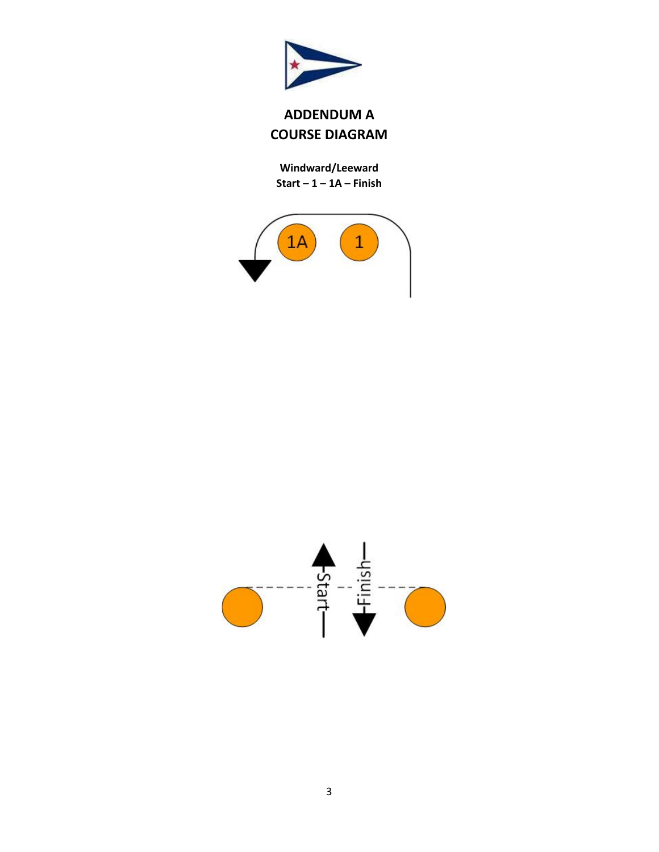

# **ADDENDUM A COURSE DIAGRAM**

**Windward/Leeward Start – 1 – 1A – Finish**